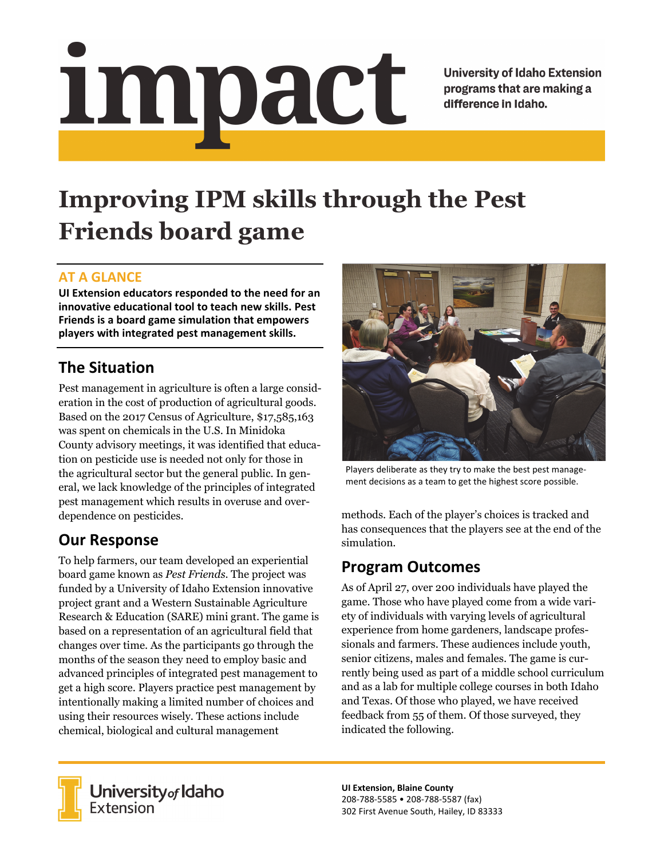# <u>impact</u>

**University of Idaho Extension** programs that are making a difference in Idaho.

# **Improving IPM skills through the Pest Friends board game**

#### **AT A GLANCE**

**UI Extension educators responded to the need for an innovative educational tool to teach new skills. Pest Friends is a board game simulation that empowers players with integrated pest management skills.**

# **The Situation**

Pest management in agriculture is often a large consideration in the cost of production of agricultural goods. Based on the 2017 Census of Agriculture, \$17,585,163 was spent on chemicals in the U.S. In Minidoka County advisory meetings, it was identified that education on pesticide use is needed not only for those in the agricultural sector but the general public. In general, we lack knowledge of the principles of integrated pest management which results in overuse and overdependence on pesticides.

## **Our Response**

To help farmers, our team developed an experiential board game known as *Pest Friends*. The project was funded by a University of Idaho Extension innovative project grant and a Western Sustainable Agriculture Research & Education (SARE) mini grant. The game is based on a representation of an agricultural field that changes over time. As the participants go through the months of the season they need to employ basic and advanced principles of integrated pest management to get a high score. Players practice pest management by intentionally making a limited number of choices and using their resources wisely. These actions include chemical, biological and cultural management



Players deliberate as they try to make the best pest manage‐ ment decisions as a team to get the highest score possible.

methods. Each of the player's choices is tracked and has consequences that the players see at the end of the simulation.

## **Program Outcomes**

As of April 27, over 200 individuals have played the game. Those who have played come from a wide variety of individuals with varying levels of agricultural experience from home gardeners, landscape professionals and farmers. These audiences include youth, senior citizens, males and females. The game is currently being used as part of a middle school curriculum and as a lab for multiple college courses in both Idaho and Texas. Of those who played, we have received feedback from 55 of them. Of those surveyed, they indicated the following.



University of Idaho<br>Extension

**UI Extension, Blaine County** 208‐788‐5585 • 208‐788‐5587 (fax) 302 First Avenue South, Hailey, ID 83333